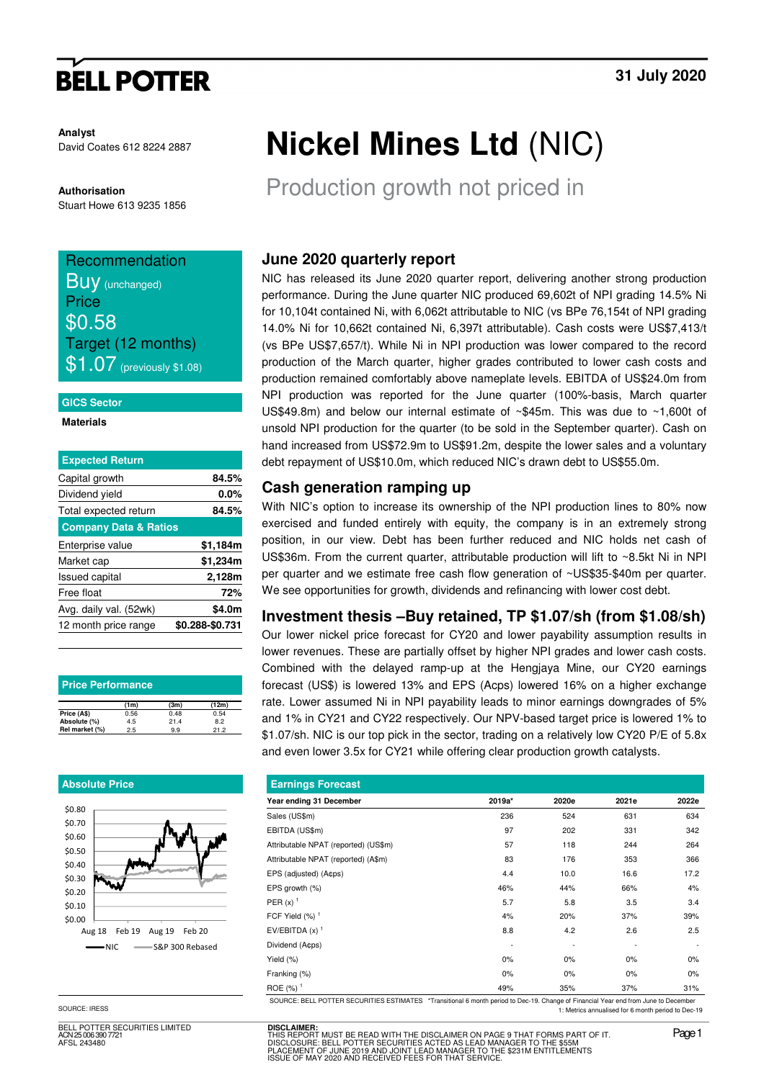# **BELL POTTER**

**Analyst** David Coates 612 8224 2887

### **Authorisation**

Stuart Howe 613 9235 1856

# Recommendation **Buy** (unchanged) **Price** \$0.58 Target (12 months)  $\$1.07$  (previously \$1.08)

### **GICS Sector**

### **Materials**

| <b>Expected Return</b>           |                 |
|----------------------------------|-----------------|
| Capital growth                   | 84.5%           |
| Dividend yield                   | $0.0\%$         |
| Total expected return            | 84.5%           |
| <b>Company Data &amp; Ratios</b> |                 |
| Enterprise value                 | \$1,184m        |
| Market cap                       | \$1,234m        |
| <b>Issued capital</b>            | 2,128m          |
| Free float                       | 72%             |
| Avg. daily val. (52wk)           | \$4.0m          |
| 12 month price range             | \$0.288-\$0.731 |
|                                  |                 |

| <b>Price Performance</b> |      |      |       |  |  |  |  |  |
|--------------------------|------|------|-------|--|--|--|--|--|
|                          | (1m) | (3m) | (12m) |  |  |  |  |  |
| Price (A\$)              | 0.56 | 0.48 | 0.54  |  |  |  |  |  |
| Absolute (%)             | 4.5  | 21.4 | 8.2   |  |  |  |  |  |
| Rel market (%)           | 2.5  | 9.9  | 21.2  |  |  |  |  |  |

### **Absolute Price**



SOURCE: IRESS

BELL POTTER SECURITIES LIMITED ACN 25 006 390 7721 AFSL 243480

# **Nickel Mines Ltd** (NIC)

Production growth not priced in

## **June 2020 quarterly report**

NIC has released its June 2020 quarter report, delivering another strong production performance. During the June quarter NIC produced 69,602t of NPI grading 14.5% Ni for 10,104t contained Ni, with 6,062t attributable to NIC (vs BPe 76,154t of NPI grading 14.0% Ni for 10,662t contained Ni, 6,397t attributable). Cash costs were US\$7,413/t (vs BPe US\$7,657/t). While Ni in NPI production was lower compared to the record production of the March quarter, higher grades contributed to lower cash costs and production remained comfortably above nameplate levels. EBITDA of US\$24.0m from NPI production was reported for the June quarter (100%-basis, March quarter US\$49.8m) and below our internal estimate of ~\$45m. This was due to ~1,600t of unsold NPI production for the quarter (to be sold in the September quarter). Cash on hand increased from US\$72.9m to US\$91.2m, despite the lower sales and a voluntary debt repayment of US\$10.0m, which reduced NIC's drawn debt to US\$55.0m.

## **Cash generation ramping up**

With NIC's option to increase its ownership of the NPI production lines to 80% now exercised and funded entirely with equity, the company is in an extremely strong position, in our view. Debt has been further reduced and NIC holds net cash of US\$36m. From the current quarter, attributable production will lift to ~8.5kt Ni in NPI per quarter and we estimate free cash flow generation of ~US\$35-\$40m per quarter. We see opportunities for growth, dividends and refinancing with lower cost debt.

## **Investment thesis –Buy retained, TP \$1.07/sh (from \$1.08/sh)**

Our lower nickel price forecast for CY20 and lower payability assumption results in lower revenues. These are partially offset by higher NPI grades and lower cash costs. Combined with the delayed ramp-up at the Hengjaya Mine, our CY20 earnings forecast (US\$) is lowered 13% and EPS (Acps) lowered 16% on a higher exchange rate. Lower assumed Ni in NPI payability leads to minor earnings downgrades of 5% and 1% in CY21 and CY22 respectively. Our NPV-based target price is lowered 1% to \$1.07/sh. NIC is our top pick in the sector, trading on a relatively low CY20 P/E of 5.8x and even lower 3.5x for CY21 while offering clear production growth catalysts.

| <b>Earnings Forecast</b>             |        |       |       |       |  |  |  |  |  |
|--------------------------------------|--------|-------|-------|-------|--|--|--|--|--|
| Year ending 31 December              | 2019a* | 2020e | 2021e | 2022e |  |  |  |  |  |
| Sales (US\$m)                        | 236    | 524   | 631   | 634   |  |  |  |  |  |
| EBITDA (US\$m)                       | 97     | 202   | 331   | 342   |  |  |  |  |  |
| Attributable NPAT (reported) (US\$m) | 57     | 118   | 244   | 264   |  |  |  |  |  |
| Attributable NPAT (reported) (A\$m)  | 83     | 176   | 353   | 366   |  |  |  |  |  |
| EPS (adjusted) (A¢ps)                | 4.4    | 10.0  | 16.6  | 17.2  |  |  |  |  |  |
| EPS growth (%)                       | 46%    | 44%   | 66%   | 4%    |  |  |  |  |  |
| PER $(x)$ <sup>1</sup>               | 5.7    | 5.8   | 3.5   | 3.4   |  |  |  |  |  |
| FCF Yield $(\%)$ <sup>1</sup>        | 4%     | 20%   | 37%   | 39%   |  |  |  |  |  |
| EV/EBITDA $(x)$ <sup>1</sup>         | 8.8    | 4.2   | 2.6   | 2.5   |  |  |  |  |  |
| Dividend (Acps)                      |        | ٠     | ٠     |       |  |  |  |  |  |
| Yield (%)                            | 0%     | 0%    | 0%    | 0%    |  |  |  |  |  |
| Franking (%)                         | 0%     | 0%    | 0%    | 0%    |  |  |  |  |  |
| ROE $(\%)$ <sup>1</sup>              | 49%    | 35%   | 37%   | 31%   |  |  |  |  |  |

SOURCE: BELL POTTER SECURITIES ESTIMATES \*Transitional 6 month period to Dec-19. Change of Financial Year end from June to December 1: Metrics annualised for 6 month period to Dec-19

**DISCLAIMER:** THIS REPORT MUST BE READ WITH THE DISCLAIMER ON PAGE 9 THAT FORMS PART OF IT.<br>DISCLOSURE: BELL POTTER SECURITIES ACTED AS LEAD MANAGER TO THE \$55M<br>PLACEMENT OF JUNE 2019 AND JOINT LEAD MANAGER TO THE \$231M ENTITLEMENTS<br>ISS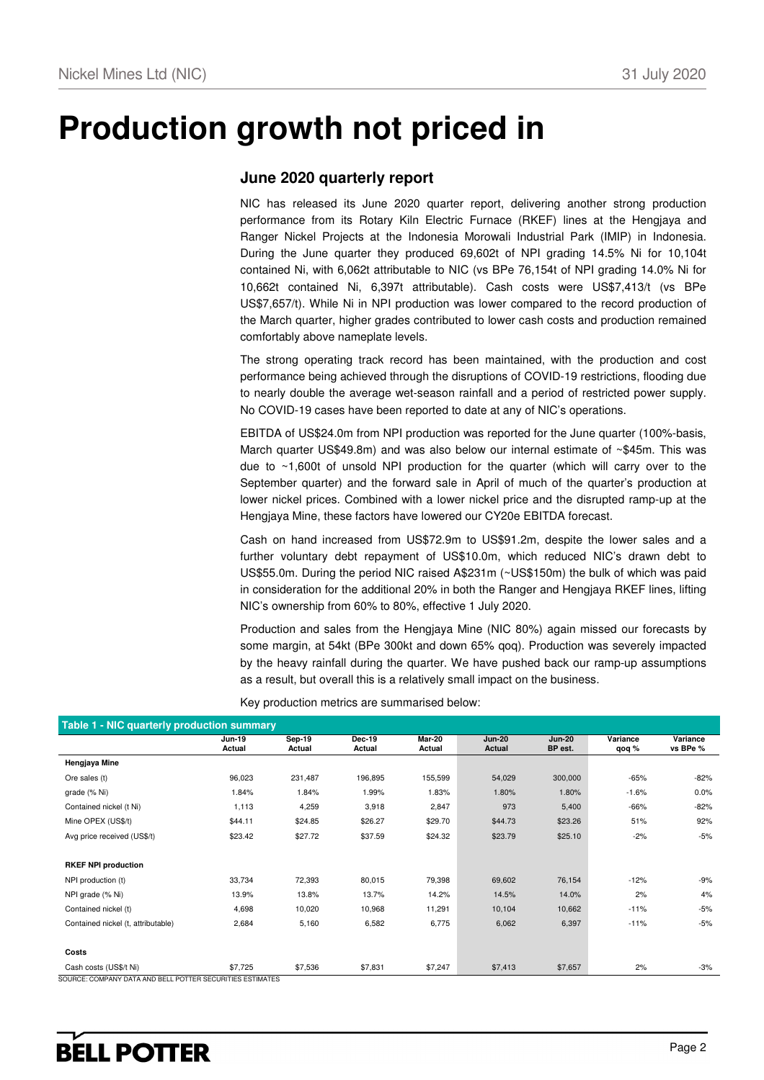# **Production growth not priced in**

## **June 2020 quarterly report**

NIC has released its June 2020 quarter report, delivering another strong production performance from its Rotary Kiln Electric Furnace (RKEF) lines at the Hengjaya and Ranger Nickel Projects at the Indonesia Morowali Industrial Park (IMIP) in Indonesia. During the June quarter they produced 69,602t of NPI grading 14.5% Ni for 10,104t contained Ni, with 6,062t attributable to NIC (vs BPe 76,154t of NPI grading 14.0% Ni for 10,662t contained Ni, 6,397t attributable). Cash costs were US\$7,413/t (vs BPe US\$7,657/t). While Ni in NPI production was lower compared to the record production of the March quarter, higher grades contributed to lower cash costs and production remained comfortably above nameplate levels.

The strong operating track record has been maintained, with the production and cost performance being achieved through the disruptions of COVID-19 restrictions, flooding due to nearly double the average wet-season rainfall and a period of restricted power supply. No COVID-19 cases have been reported to date at any of NIC's operations.

EBITDA of US\$24.0m from NPI production was reported for the June quarter (100%-basis, March quarter US\$49.8m) and was also below our internal estimate of ~\$45m. This was due to  $\sim$  1,600t of unsold NPI production for the quarter (which will carry over to the September quarter) and the forward sale in April of much of the quarter's production at lower nickel prices. Combined with a lower nickel price and the disrupted ramp-up at the Hengjaya Mine, these factors have lowered our CY20e EBITDA forecast.

Cash on hand increased from US\$72.9m to US\$91.2m, despite the lower sales and a further voluntary debt repayment of US\$10.0m, which reduced NIC's drawn debt to US\$55.0m. During the period NIC raised A\$231m (~US\$150m) the bulk of which was paid in consideration for the additional 20% in both the Ranger and Hengjaya RKEF lines, lifting NIC's ownership from 60% to 80%, effective 1 July 2020.

Production and sales from the Hengjaya Mine (NIC 80%) again missed our forecasts by some margin, at 54kt (BPe 300kt and down 65% qoq). Production was severely impacted by the heavy rainfall during the quarter. We have pushed back our ramp-up assumptions as a result, but overall this is a relatively small impact on the business.

|                                    | <b>Jun-19</b><br>Actual | <b>Sep-19</b><br>Actual | Dec-19<br>Actual | <b>Mar-20</b><br>Actual | <b>Jun-20</b><br>Actual | <b>Jun-20</b><br>BP est. | Variance<br>qoq % | Variance<br>vs BPe % |
|------------------------------------|-------------------------|-------------------------|------------------|-------------------------|-------------------------|--------------------------|-------------------|----------------------|
| Hengjaya Mine                      |                         |                         |                  |                         |                         |                          |                   |                      |
| Ore sales (t)                      | 96,023                  | 231,487                 | 196,895          | 155,599                 | 54,029                  | 300,000                  | $-65%$            | -82%                 |
| grade (% Ni)                       | 1.84%                   | 1.84%                   | 1.99%            | 1.83%                   | 1.80%                   | 1.80%                    | $-1.6%$           | $0.0\%$              |
| Contained nickel (t Ni)            | 1,113                   | 4,259                   | 3,918            | 2,847                   | 973                     | 5,400                    | $-66%$            | $-82%$               |
| Mine OPEX (US\$/t)                 | \$44.11                 | \$24.85                 | \$26.27          | \$29.70                 | \$44.73                 | \$23.26                  | 51%               | 92%                  |
| Avg price received (US\$/t)        | \$23.42                 | \$27.72                 | \$37.59          | \$24.32                 | \$23.79                 | \$25.10                  | $-2%$             | $-5%$                |
| <b>RKEF NPI production</b>         |                         |                         |                  |                         |                         |                          |                   |                      |
| NPI production (t)                 | 33,734                  | 72,393                  | 80,015           | 79,398                  | 69,602                  | 76,154                   | $-12%$            | -9%                  |
| NPI grade (% Ni)                   | 13.9%                   | 13.8%                   | 13.7%            | 14.2%                   | 14.5%                   | 14.0%                    | 2%                | 4%                   |
| Contained nickel (t)               | 4,698                   | 10,020                  | 10,968           | 11,291                  | 10,104                  | 10,662                   | $-11%$            | $-5%$                |
| Contained nickel (t, attributable) | 2,684                   | 5,160                   | 6,582            | 6,775                   | 6,062                   | 6,397                    | $-11%$            | -5%                  |
| Costs                              |                         |                         |                  |                         |                         |                          |                   |                      |
| Cash costs (US\$/t Ni)             | \$7,725                 | \$7,536                 | \$7,831          | \$7,247                 | \$7,413                 | \$7,657                  | 2%                | $-3%$                |

Key production metrics are summarised below: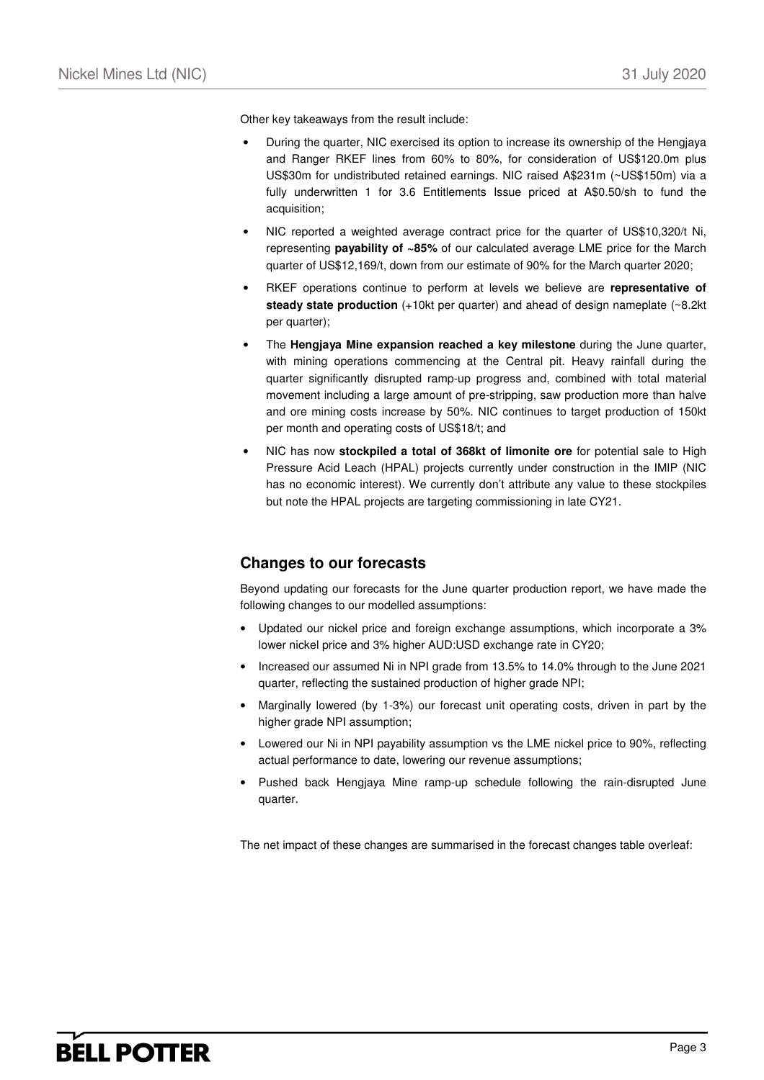Other key takeaways from the result include:

- During the quarter, NIC exercised its option to increase its ownership of the Hengjaya and Ranger RKEF lines from 60% to 80%, for consideration of US\$120.0m plus US\$30m for undistributed retained earnings. NIC raised A\$231m (~US\$150m) via a fully underwritten 1 for 3.6 Entitlements Issue priced at A\$0.50/sh to fund the acquisition;
- NIC reported a weighted average contract price for the quarter of US\$10,320/t Ni, representing **payability of ~85%** of our calculated average LME price for the March quarter of US\$12,169/t, down from our estimate of 90% for the March quarter 2020;
- RKEF operations continue to perform at levels we believe are **representative of steady state production** (+10kt per quarter) and ahead of design nameplate (~8.2kt per quarter);
- The **Hengjaya Mine expansion reached a key milestone** during the June quarter, with mining operations commencing at the Central pit. Heavy rainfall during the quarter significantly disrupted ramp-up progress and, combined with total material movement including a large amount of pre-stripping, saw production more than halve and ore mining costs increase by 50%. NIC continues to target production of 150kt per month and operating costs of US\$18/t; and
- NIC has now **stockpiled a total of 368kt of limonite ore** for potential sale to High Pressure Acid Leach (HPAL) projects currently under construction in the IMIP (NIC has no economic interest). We currently don't attribute any value to these stockpiles but note the HPAL projects are targeting commissioning in late CY21.

## **Changes to our forecasts**

Beyond updating our forecasts for the June quarter production report, we have made the following changes to our modelled assumptions:

- Updated our nickel price and foreign exchange assumptions, which incorporate a 3% lower nickel price and 3% higher AUD:USD exchange rate in CY20;
- Increased our assumed Ni in NPI grade from 13.5% to 14.0% through to the June 2021 quarter, reflecting the sustained production of higher grade NPI;
- Marginally lowered (by 1-3%) our forecast unit operating costs, driven in part by the higher grade NPI assumption;
- Lowered our Ni in NPI payability assumption vs the LME nickel price to 90%, reflecting actual performance to date, lowering our revenue assumptions;
- Pushed back Hengjaya Mine ramp-up schedule following the rain-disrupted June quarter.

The net impact of these changes are summarised in the forecast changes table overleaf: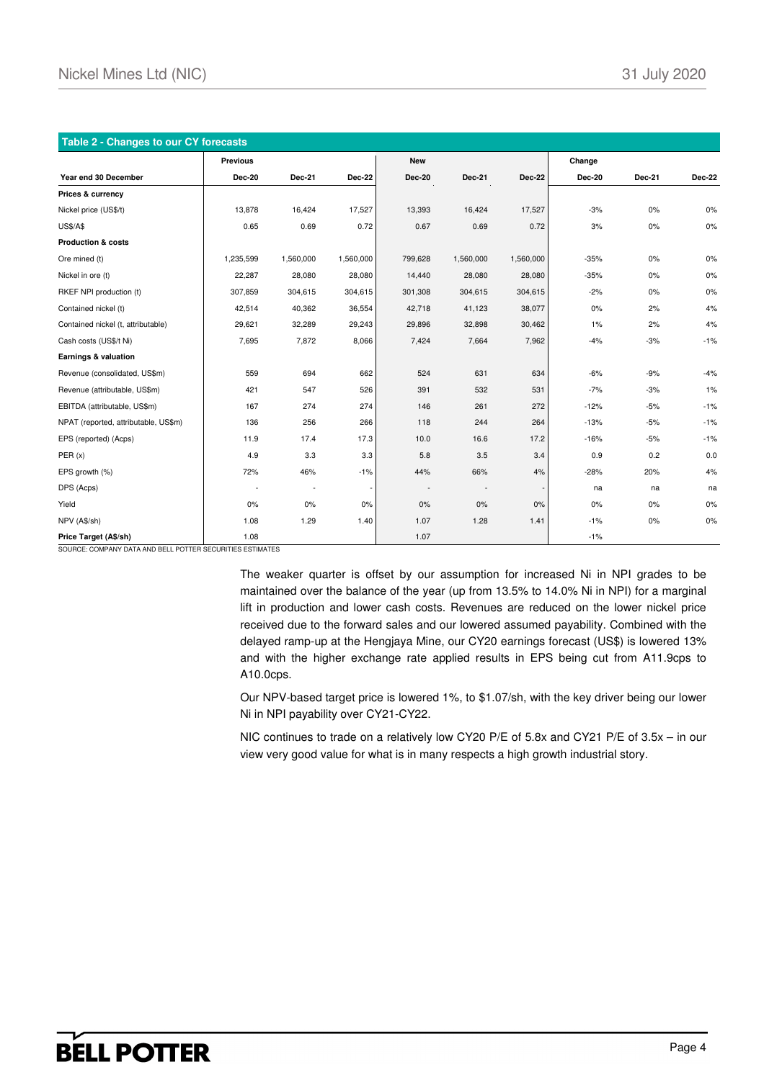| Table 2 - Changes to our CY forecasts |                 |               |               |               |           |               |               |        |        |
|---------------------------------------|-----------------|---------------|---------------|---------------|-----------|---------------|---------------|--------|--------|
|                                       | <b>Previous</b> |               |               | <b>New</b>    |           |               | Change        |        |        |
| Year end 30 December                  | <b>Dec-20</b>   | <b>Dec-21</b> | <b>Dec-22</b> | <b>Dec-20</b> | Dec-21    | <b>Dec-22</b> | <b>Dec-20</b> | Dec-21 | Dec-22 |
| Prices & currency                     |                 |               |               |               |           |               |               |        |        |
| Nickel price (US\$/t)                 | 13,878          | 16,424        | 17,527        | 13,393        | 16,424    | 17,527        | $-3%$         | 0%     | 0%     |
| <b>US\$/A\$</b>                       | 0.65            | 0.69          | 0.72          | 0.67          | 0.69      | 0.72          | 3%            | 0%     | $0\%$  |
| <b>Production &amp; costs</b>         |                 |               |               |               |           |               |               |        |        |
| Ore mined (t)                         | 1,235,599       | 1,560,000     | 1,560,000     | 799,628       | 1,560,000 | 1,560,000     | $-35%$        | 0%     | $0\%$  |
| Nickel in ore (t)                     | 22,287          | 28,080        | 28,080        | 14,440        | 28,080    | 28,080        | $-35%$        | 0%     | $0\%$  |
| RKEF NPI production (t)               | 307,859         | 304,615       | 304,615       | 301,308       | 304,615   | 304,615       | $-2%$         | 0%     | $0\%$  |
| Contained nickel (t)                  | 42,514          | 40,362        | 36,554        | 42,718        | 41,123    | 38,077        | 0%            | 2%     | 4%     |
| Contained nickel (t, attributable)    | 29,621          | 32,289        | 29,243        | 29,896        | 32,898    | 30,462        | 1%            | 2%     | 4%     |
| Cash costs (US\$/t Ni)                | 7,695           | 7,872         | 8,066         | 7,424         | 7,664     | 7,962         | $-4%$         | $-3%$  | $-1%$  |
| Earnings & valuation                  |                 |               |               |               |           |               |               |        |        |
| Revenue (consolidated, US\$m)         | 559             | 694           | 662           | 524           | 631       | 634           | $-6%$         | $-9%$  | $-4%$  |
| Revenue (attributable, US\$m)         | 421             | 547           | 526           | 391           | 532       | 531           | $-7%$         | $-3%$  | 1%     |
| EBITDA (attributable, US\$m)          | 167             | 274           | 274           | 146           | 261       | 272           | $-12%$        | $-5%$  | $-1%$  |
| NPAT (reported, attributable, US\$m)  | 136             | 256           | 266           | 118           | 244       | 264           | $-13%$        | $-5%$  | $-1%$  |
| EPS (reported) (Acps)                 | 11.9            | 17.4          | 17.3          | 10.0          | 16.6      | 17.2          | $-16%$        | $-5%$  | $-1%$  |
| PER(x)                                | 4.9             | 3.3           | 3.3           | 5.8           | 3.5       | 3.4           | 0.9           | 0.2    | 0.0    |
| EPS growth (%)                        | 72%             | 46%           | $-1%$         | 44%           | 66%       | 4%            | $-28%$        | 20%    | 4%     |
| DPS (Acps)                            |                 |               |               |               |           |               | na            | na     | na     |
| Yield                                 | 0%              | 0%            | $0\%$         | 0%            | 0%        | 0%            | 0%            | 0%     | 0%     |
| NPV (A\$/sh)                          | 1.08            | 1.29          | 1.40          | 1.07          | 1.28      | 1.41          | $-1%$         | 0%     | $0\%$  |
| Price Target (A\$/sh)                 | 1.08            |               |               | 1.07          |           |               | $-1%$         |        |        |

SOURCE: COMPANY DATA AND BELL POTTER SECURITIES ESTIMATES

The weaker quarter is offset by our assumption for increased Ni in NPI grades to be maintained over the balance of the year (up from 13.5% to 14.0% Ni in NPI) for a marginal lift in production and lower cash costs. Revenues are reduced on the lower nickel price received due to the forward sales and our lowered assumed payability. Combined with the delayed ramp-up at the Hengjaya Mine, our CY20 earnings forecast (US\$) is lowered 13% and with the higher exchange rate applied results in EPS being cut from A11.9cps to A10.0cps.

Our NPV-based target price is lowered 1%, to \$1.07/sh, with the key driver being our lower Ni in NPI payability over CY21-CY22.

NIC continues to trade on a relatively low CY20 P/E of 5.8x and CY21 P/E of 3.5x – in our view very good value for what is in many respects a high growth industrial story.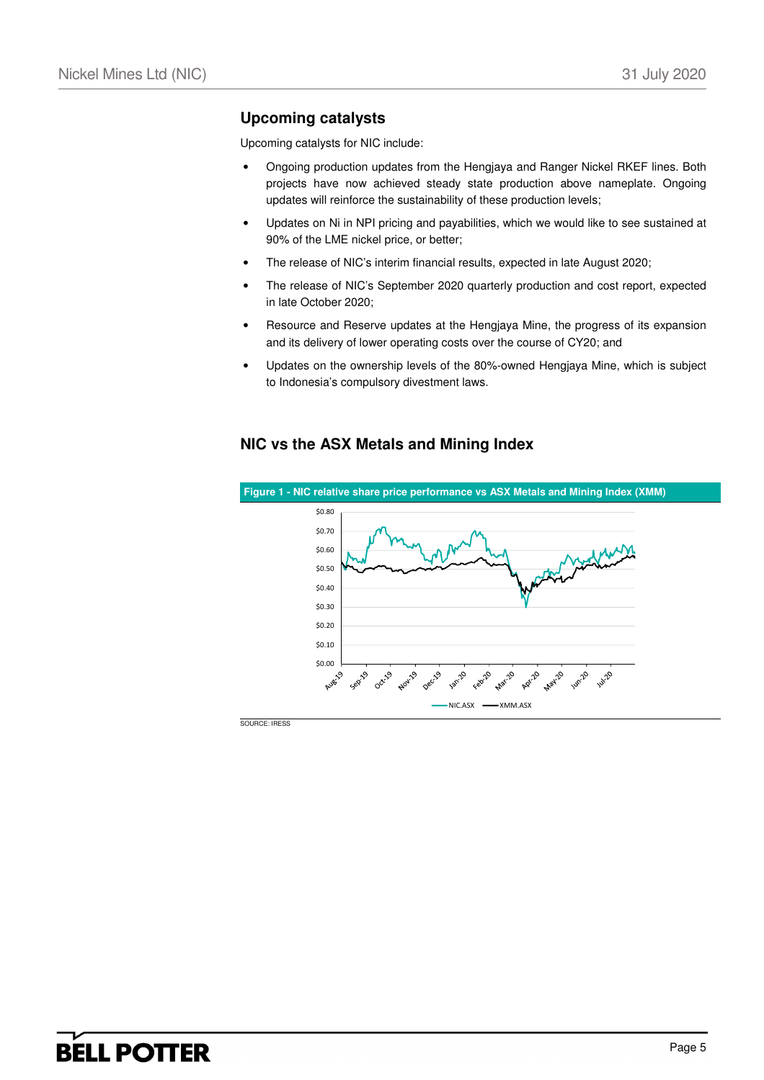## **Upcoming catalysts**

Upcoming catalysts for NIC include:

- Ongoing production updates from the Hengjaya and Ranger Nickel RKEF lines. Both projects have now achieved steady state production above nameplate. Ongoing updates will reinforce the sustainability of these production levels;
- Updates on Ni in NPI pricing and payabilities, which we would like to see sustained at 90% of the LME nickel price, or better;
- The release of NIC's interim financial results, expected in late August 2020;
- The release of NIC's September 2020 quarterly production and cost report, expected in late October 2020;
- Resource and Reserve updates at the Hengjaya Mine, the progress of its expansion and its delivery of lower operating costs over the course of CY20; and
- Updates on the ownership levels of the 80%-owned Hengjaya Mine, which is subject to Indonesia's compulsory divestment laws.

# **NIC vs the ASX Metals and Mining Index**



SOURCE: IRESS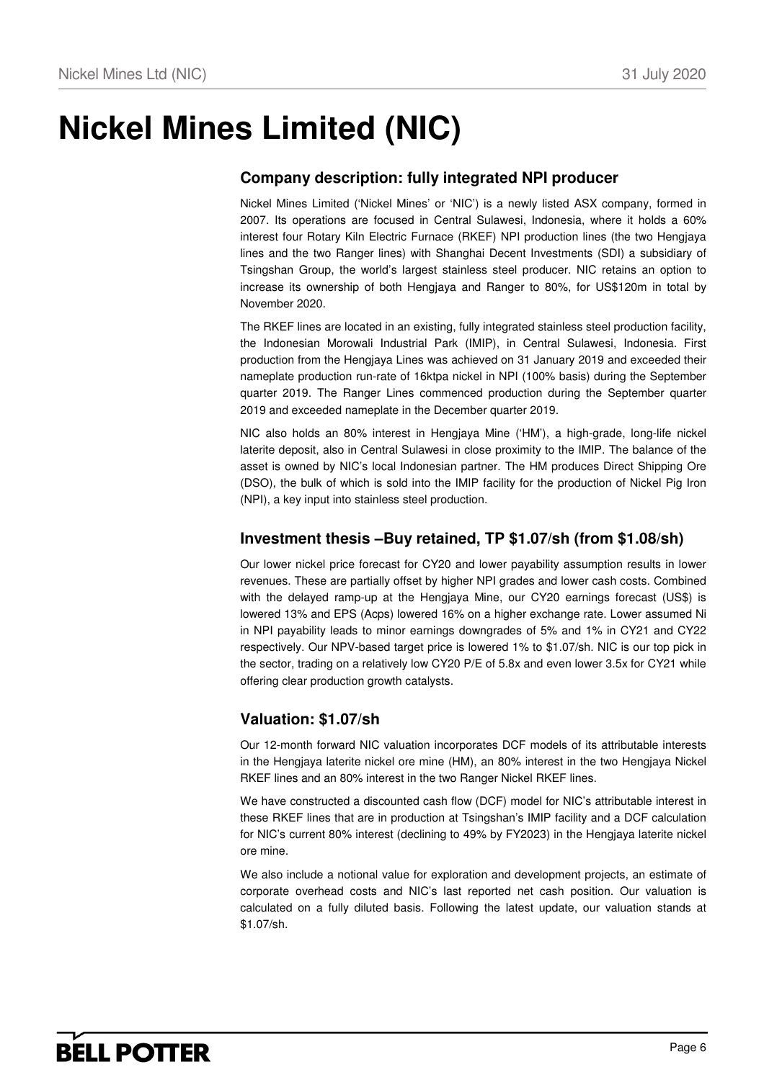# **Nickel Mines Limited (NIC)**

# **Company description: fully integrated NPI producer**

Nickel Mines Limited ('Nickel Mines' or 'NIC') is a newly listed ASX company, formed in 2007. Its operations are focused in Central Sulawesi, Indonesia, where it holds a 60% interest four Rotary Kiln Electric Furnace (RKEF) NPI production lines (the two Hengjaya lines and the two Ranger lines) with Shanghai Decent Investments (SDI) a subsidiary of Tsingshan Group, the world's largest stainless steel producer. NIC retains an option to increase its ownership of both Hengjaya and Ranger to 80%, for US\$120m in total by November 2020.

The RKEF lines are located in an existing, fully integrated stainless steel production facility, the Indonesian Morowali Industrial Park (IMIP), in Central Sulawesi, Indonesia. First production from the Hengjaya Lines was achieved on 31 January 2019 and exceeded their nameplate production run-rate of 16ktpa nickel in NPI (100% basis) during the September quarter 2019. The Ranger Lines commenced production during the September quarter 2019 and exceeded nameplate in the December quarter 2019.

NIC also holds an 80% interest in Hengjaya Mine ('HM'), a high-grade, long-life nickel laterite deposit, also in Central Sulawesi in close proximity to the IMIP. The balance of the asset is owned by NIC's local Indonesian partner. The HM produces Direct Shipping Ore (DSO), the bulk of which is sold into the IMIP facility for the production of Nickel Pig Iron (NPI), a key input into stainless steel production.

## **Investment thesis –Buy retained, TP \$1.07/sh (from \$1.08/sh)**

Our lower nickel price forecast for CY20 and lower payability assumption results in lower revenues. These are partially offset by higher NPI grades and lower cash costs. Combined with the delayed ramp-up at the Hengjaya Mine, our CY20 earnings forecast (US\$) is lowered 13% and EPS (Acps) lowered 16% on a higher exchange rate. Lower assumed Ni in NPI payability leads to minor earnings downgrades of 5% and 1% in CY21 and CY22 respectively. Our NPV-based target price is lowered 1% to \$1.07/sh. NIC is our top pick in the sector, trading on a relatively low CY20 P/E of 5.8x and even lower 3.5x for CY21 while offering clear production growth catalysts.

# **Valuation: \$1.07/sh**

Our 12-month forward NIC valuation incorporates DCF models of its attributable interests in the Hengjaya laterite nickel ore mine (HM), an 80% interest in the two Hengjaya Nickel RKEF lines and an 80% interest in the two Ranger Nickel RKEF lines.

We have constructed a discounted cash flow (DCF) model for NIC's attributable interest in these RKEF lines that are in production at Tsingshan's IMIP facility and a DCF calculation for NIC's current 80% interest (declining to 49% by FY2023) in the Hengjaya laterite nickel ore mine.

We also include a notional value for exploration and development projects, an estimate of corporate overhead costs and NIC's last reported net cash position. Our valuation is calculated on a fully diluted basis. Following the latest update, our valuation stands at \$1.07/sh.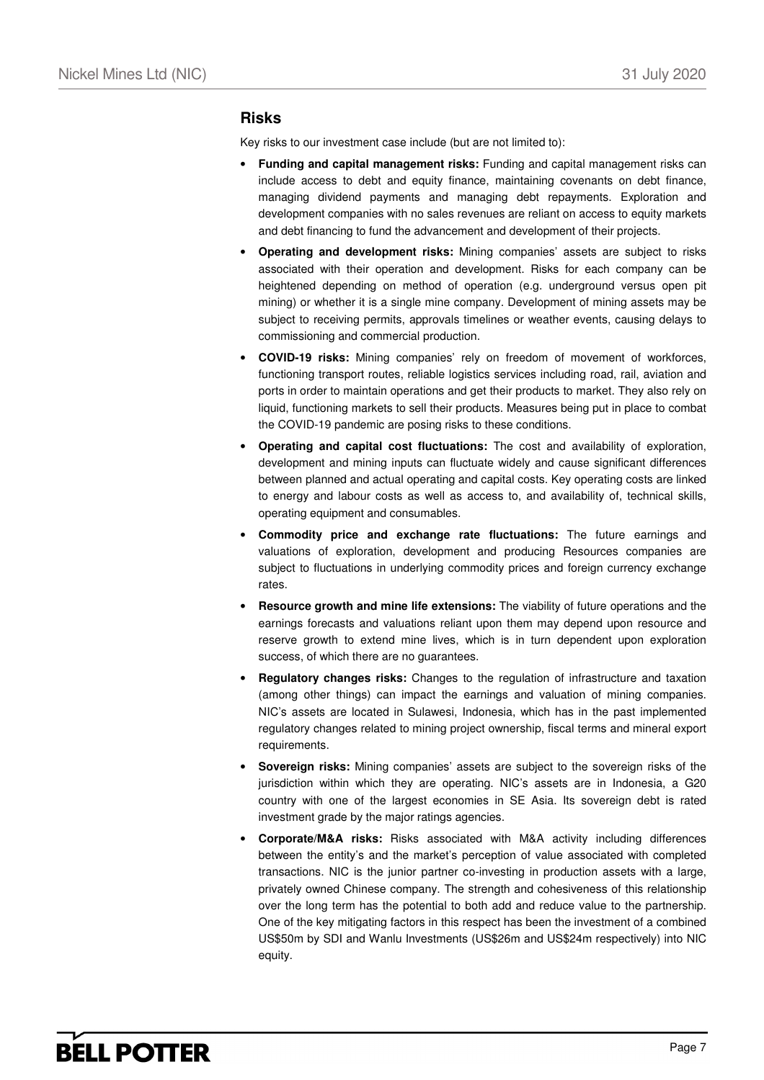## **Risks**

Key risks to our investment case include (but are not limited to):

- **Funding and capital management risks:** Funding and capital management risks can include access to debt and equity finance, maintaining covenants on debt finance, managing dividend payments and managing debt repayments. Exploration and development companies with no sales revenues are reliant on access to equity markets and debt financing to fund the advancement and development of their projects.
- **Operating and development risks:** Mining companies' assets are subject to risks associated with their operation and development. Risks for each company can be heightened depending on method of operation (e.g. underground versus open pit mining) or whether it is a single mine company. Development of mining assets may be subject to receiving permits, approvals timelines or weather events, causing delays to commissioning and commercial production.
- **COVID-19 risks:** Mining companies' rely on freedom of movement of workforces, functioning transport routes, reliable logistics services including road, rail, aviation and ports in order to maintain operations and get their products to market. They also rely on liquid, functioning markets to sell their products. Measures being put in place to combat the COVID-19 pandemic are posing risks to these conditions.
- **Operating and capital cost fluctuations:** The cost and availability of exploration, development and mining inputs can fluctuate widely and cause significant differences between planned and actual operating and capital costs. Key operating costs are linked to energy and labour costs as well as access to, and availability of, technical skills, operating equipment and consumables.
- **Commodity price and exchange rate fluctuations:** The future earnings and valuations of exploration, development and producing Resources companies are subject to fluctuations in underlying commodity prices and foreign currency exchange rates.
- **Resource growth and mine life extensions:** The viability of future operations and the earnings forecasts and valuations reliant upon them may depend upon resource and reserve growth to extend mine lives, which is in turn dependent upon exploration success, of which there are no guarantees.
- **Regulatory changes risks:** Changes to the regulation of infrastructure and taxation (among other things) can impact the earnings and valuation of mining companies. NIC's assets are located in Sulawesi, Indonesia, which has in the past implemented regulatory changes related to mining project ownership, fiscal terms and mineral export requirements.
- **Sovereign risks:** Mining companies' assets are subject to the sovereign risks of the jurisdiction within which they are operating. NIC's assets are in Indonesia, a G20 country with one of the largest economies in SE Asia. Its sovereign debt is rated investment grade by the major ratings agencies.
- **Corporate/M&A risks:** Risks associated with M&A activity including differences between the entity's and the market's perception of value associated with completed transactions. NIC is the junior partner co-investing in production assets with a large, privately owned Chinese company. The strength and cohesiveness of this relationship over the long term has the potential to both add and reduce value to the partnership. One of the key mitigating factors in this respect has been the investment of a combined US\$50m by SDI and Wanlu Investments (US\$26m and US\$24m respectively) into NIC equity.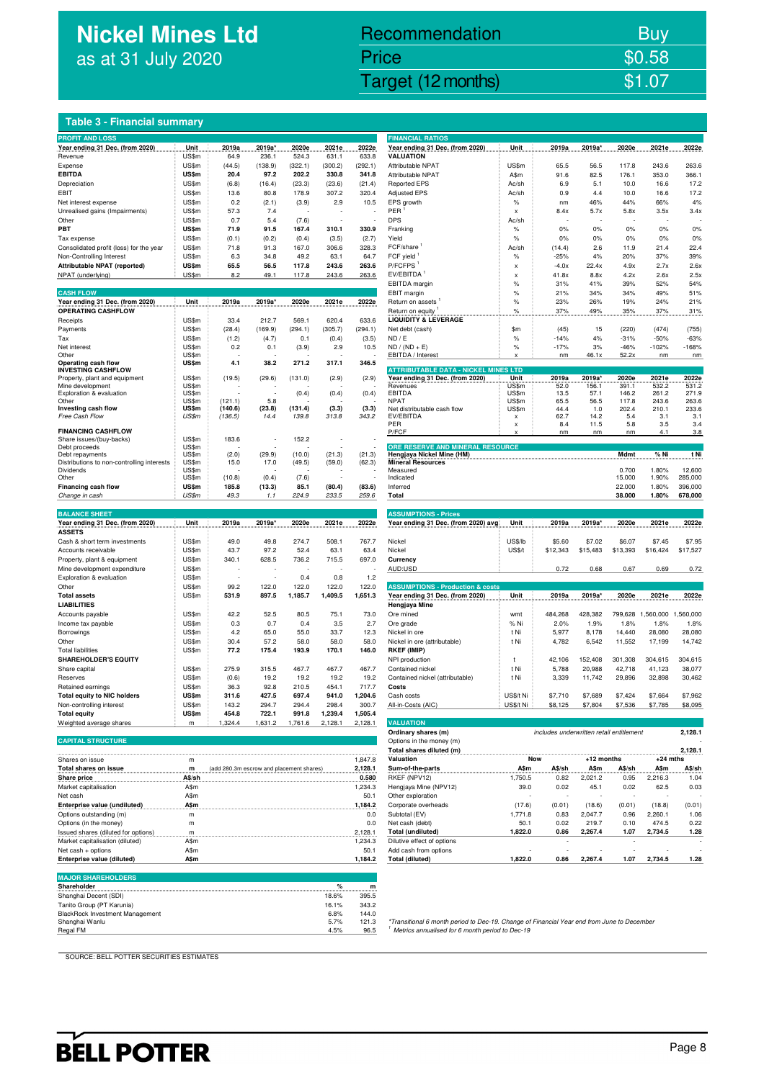# **Nickel Mines Ltd** as at 31 July 2020

# Nickel Mines Ltd (Nickel Mines Ltd (Nickel Mines Ltd (Nickel Mines Ltd (Nickel Mines Ltd Control) Recommendation Buy Price \$0.58

## **Table 3 - Financial summary**

| <b>PROFIT AND LOSS</b>                                   |                       |                                          |                 |                  |                  |                  | <b>FINANCIAL RATIOS</b>                                                                                                                                    |                           |                                          |                 |                  |                 |                    |
|----------------------------------------------------------|-----------------------|------------------------------------------|-----------------|------------------|------------------|------------------|------------------------------------------------------------------------------------------------------------------------------------------------------------|---------------------------|------------------------------------------|-----------------|------------------|-----------------|--------------------|
| Year ending 31 Dec. (from 2020)                          | Unit                  | 2019a                                    | 2019a'          | 2020e            | 2021e            | 2022e            | Year ending 31 Dec. (from 2020)                                                                                                                            | Unit                      | 2019a                                    | 2019a           | 2020e            | 2021e           | 2022e              |
| Revenue                                                  | US\$m                 | 64.9                                     | 236.1           | 524.3            | 631.1            | 633.8            | <b>VALUATION</b>                                                                                                                                           |                           |                                          |                 |                  |                 |                    |
| Expense<br><b>EBITDA</b>                                 | US\$m<br>US\$m        | (44.5)<br>20.4                           | (138.9)<br>97.2 | (322.1)<br>202.2 | (300.2)<br>330.8 | (292.1)<br>341.8 | Attributable NPAT<br>Attributable NPAT                                                                                                                     | US\$m<br>A\$m             | 65.5<br>91.6                             | 56.5<br>82.5    | 117.8<br>176.1   | 243.6<br>353.0  | 263.6<br>366.1     |
| Depreciation                                             | US\$m                 | (6.8)                                    | (16.4)          | (23.3)           | (23.6)           | (21.4)           | <b>Reported EPS</b>                                                                                                                                        | Ac/sh                     | 6.9                                      | 5.1             | 10.0             | 16.6            | 17.2               |
| EBIT                                                     | US\$m                 | 13.6                                     | 80.8            | 178.9            | 307.2            | 320.4            | <b>Adjusted EPS</b>                                                                                                                                        | Ac/sh                     | 0.9                                      | 4.4             | 10.0             | 16.6            | 17.2               |
| Net interest expense                                     | US\$m                 | 0.2                                      | (2.1)           | (3.9)            | 2.9              | 10.5             | EPS growth                                                                                                                                                 | $\%$                      | nm                                       | 46%             | 44%              | 66%             | 4%                 |
| Unrealised gains (Impairments)                           | US\$m                 | 57.3                                     | 7.4             |                  |                  |                  | PER                                                                                                                                                        | $\boldsymbol{\mathsf{x}}$ | 8.4x                                     | 5.7x            | 5.8x             | 3.5x            | 3.4x               |
| Other                                                    | US\$m                 | 0.7                                      | 5.4             | (7.6)            |                  |                  | <b>DPS</b>                                                                                                                                                 | Ac/sh                     |                                          |                 |                  |                 |                    |
| PBT                                                      | <b>US\$m</b>          | 71.9                                     | 91.5            | 167.4            | 310.1            | 330.9            | Franking                                                                                                                                                   | $\%$                      | 0%                                       | 0%              | 0%               | 0%              | 0%                 |
| Tax expense                                              | US\$m                 | (0.1)                                    | (0.2)           | (0.4)            | (3.5)            | (2.7)            | Yield                                                                                                                                                      | $\%$                      | 0%                                       | 0%              | 0%               | 0%              | 0%                 |
| Consolidated profit (loss) for the year                  | US\$m                 | 71.8                                     | 91.3            | 167.0            | 306.6            | 328.3            | FCF/share<br>FCF yield                                                                                                                                     | Ac/sh                     | (14.4)                                   | 2.6             | 11.9             | 21.4            | 22.4<br>39%        |
| Non-Controlling Interest<br>Attributable NPAT (reported) | US\$m<br><b>US\$m</b> | 6.3<br>65.5                              | 34.8<br>56.5    | 49.2<br>117.8    | 63.1<br>243.6    | 64.7<br>263.6    | P/FCFPS                                                                                                                                                    | $\%$                      | $-25%$<br>$-4.0x$                        | 4%<br>22.4x     | 20%<br>4.9x      | 37%<br>2.7x     | 2.6x               |
| NPAT (underlying)                                        | US\$m                 | 8.2                                      | 49.1            | 117.8            | 243.6            | 263.6            | EV/EBITDA                                                                                                                                                  | X<br>X                    | 41.8x                                    | 8.8x            | 4.2x             | 2.6x            | 2.5x               |
|                                                          |                       |                                          |                 |                  |                  |                  | EBITDA margin                                                                                                                                              | $\%$                      | 31%                                      | 41%             | 39%              | 52%             | 54%                |
| <b>CASH FLOW</b>                                         |                       |                                          |                 |                  |                  |                  | EBIT margin                                                                                                                                                | $\%$                      | 21%                                      | 34%             | 34%              | 49%             | 51%                |
| Year ending 31 Dec. (from 2020)                          | Unit                  | 2019a                                    | 2019a*          | 2020e            | 2021e            | 2022e            | Return on assets                                                                                                                                           | $\%$                      | 23%                                      | 26%             | 19%              | 24%             | 21%                |
| <b>OPERATING CASHFLOW</b>                                |                       |                                          |                 |                  |                  |                  | Return on equity<br><b>CONTRACTOR</b>                                                                                                                      | %                         | 37%                                      | 49%             | 35%              | 37%             | 31%                |
| Receipts                                                 | US\$m                 | 33.4                                     | 212.7           | 569.1            | 620.4            | 633.6            | <b>LIQUIDITY &amp; LEVERAGE</b>                                                                                                                            |                           |                                          |                 |                  |                 |                    |
| Payments                                                 | US\$m                 | (28.4)                                   | (169.9)         | (294.1)          | (305.7)          | (294.1)          | Net debt (cash)                                                                                                                                            | \$m\$                     | (45)                                     | 15              | (220)            | (474)           | (755)              |
| Tax                                                      | US\$m                 | (1.2)                                    | (4.7)           | 0.1              | (0.4)            | (3.5)            | ND / E                                                                                                                                                     | $\%$                      | $-14%$                                   | 4%              | $-31%$           | $-50%$          | $-63%$             |
| Net interest<br>Other                                    | US\$m<br>US\$m        | 0.2                                      | 0.1             | (3.9)            | 2.9              | 10.5             | $ND / (ND + E)$<br>EBITDA / Interest                                                                                                                       | $\%$                      | $-17%$<br>nm                             | 3%<br>46.1x     | -46%<br>52.2x    | $-102%$<br>nm   | $-168%$<br>nm      |
| Operating cash flow                                      | US\$m                 | 4.1                                      | 38.2            | 271.2            | 317.1            | 346.5            |                                                                                                                                                            |                           |                                          |                 |                  |                 |                    |
| <b>INVESTING CASHFLOW</b>                                |                       |                                          |                 |                  |                  |                  | <b>ATTRIBUTABLE DATA - NICKEL MINES LTD</b>                                                                                                                |                           |                                          |                 |                  |                 |                    |
| Property, plant and equipment<br>Mine development        | US\$m<br>US\$m        | (19.5)                                   | (29.6)          | (131.0)          | (2.9)            | (2.9)            | Year ending 31 Dec. (from 2020)<br>Revenues                                                                                                                | Unit<br>US\$m             | 2019a<br>52.0                            | 2019a<br>156.1  | 2020e<br>391.1   | 2021e<br>532.2  | 2022e<br>531.2     |
| Exploration & evaluation                                 | US\$m                 |                                          |                 | (0.4)            | (0.4)            | (0.4)            | EBITDA                                                                                                                                                     | US\$m                     | 13.5                                     | 57.1            | 146.2            | 261.2           | 271.9              |
| Other                                                    | US\$m                 | (121.1)                                  | 5.8             |                  |                  |                  | <b>NPAT</b>                                                                                                                                                | US\$m                     | 65.5                                     | 56.5            | 117.8            | 243.6           | 263.6              |
| Investing cash flow                                      | US\$m<br>US\$m        | (140.6)                                  | (23.8)          | (131.4)          | (3.3)            | (3.3)            | Net distributable cash flow<br>EV/EBITDA                                                                                                                   | US\$m                     | 44.4                                     | 1.0             | 202.4            | 210.1           | 233.6              |
| Free Cash Flow                                           |                       | (136.5)                                  | 14.4            | 139.8            | 313.8            | 343.2            | PER                                                                                                                                                        | x<br>x                    | 62.7<br>8.4                              | 14.2<br>11.5    | 5.4<br>5.8       | 3.1<br>3.5      | 3.1<br>3.4         |
| <b>FINANCING CASHFLOW</b>                                |                       |                                          |                 |                  |                  |                  | P/FCF                                                                                                                                                      | $\boldsymbol{\mathsf{x}}$ | nm                                       | nm              | nm               | 4.1             | 3.8                |
| Share issues/(buy-backs)                                 | US\$m                 | 183.6                                    |                 | 152.2            |                  |                  | ORE RESERVE AND MINERAL RESOURCE                                                                                                                           |                           |                                          |                 |                  |                 |                    |
| Debt proceeds<br>Debt repayments                         | US\$m<br>US\$m        | (2.0)                                    | (29.9)          | (10.0)           | (21.3)           | (21.3)           | Hengjaya Nickel Mine (HM)                                                                                                                                  |                           |                                          |                 | Mdmt             | % Ni            | t Ni               |
| Distributions to non-controlling interests               | US\$m                 | 15.0                                     | 17.0            | (49.5)           | (59.0)           | (62.3)           | <b>Mineral Resources</b>                                                                                                                                   |                           |                                          |                 |                  |                 |                    |
| Dividends                                                | US\$m                 |                                          |                 |                  |                  |                  | Measured                                                                                                                                                   |                           |                                          |                 | 0.700            | 1.80%           | 12,600             |
| Other                                                    | US\$m                 | (10.8)                                   | (0.4)           | (7.6)            |                  |                  | Indicated                                                                                                                                                  |                           |                                          |                 | 15.000           | 1.90%           | 285,000            |
| Financing cash flow<br>Change in cash                    | <b>US\$m</b><br>US\$m | 185.8<br>49.3                            | (13.3)<br>1.1   | 85.1<br>224.9    | (80.4)<br>233.5  | (83.6)<br>259.6  | Inferred<br>Total                                                                                                                                          |                           |                                          |                 | 22.000<br>38.000 | 1.80%<br>1.80%  | 396,000<br>678,000 |
|                                                          |                       |                                          |                 |                  |                  |                  |                                                                                                                                                            |                           |                                          |                 |                  |                 |                    |
| <b>BALANCE SHEET</b>                                     |                       |                                          |                 |                  |                  |                  | <b>ASSUMPTIONS - Prices</b>                                                                                                                                |                           |                                          |                 |                  |                 |                    |
| Year ending 31 Dec. (from 2020)                          | Unit                  | 2019a                                    | 2019a*          | 2020e            | 2021e            | 2022e            | Year ending 31 Dec. (from 2020) avg                                                                                                                        | Unit                      | 2019a                                    | 2019a*          | 2020e            | 2021e           | 2022e              |
| <b>ASSETS</b>                                            |                       |                                          |                 |                  |                  |                  |                                                                                                                                                            |                           |                                          |                 |                  |                 |                    |
| Cash & short term investments                            | US\$m                 | 49.0                                     | 49.8            | 274.7            | 508.1            | 767.7            | Nickel                                                                                                                                                     | US\$/lb                   | \$5.60                                   | \$7.02          | \$6.07           | \$7.45          | \$7.95             |
|                                                          |                       |                                          |                 |                  |                  |                  |                                                                                                                                                            |                           |                                          |                 | \$13,393         | \$16,424        | \$17,527           |
| Accounts receivable                                      | US\$m                 | 43.7                                     | 97.2            | 52.4             | 63.1             | 63.4             | Nickel                                                                                                                                                     | <b>US\$/t</b>             | \$12,343                                 | \$15,483        |                  |                 |                    |
| Property, plant & equipment                              | US\$m                 | 340.1                                    | 628.5           | 736.2            | 715.5            | 697.0            | Currency                                                                                                                                                   |                           |                                          |                 |                  |                 |                    |
| Mine development expenditure                             | US\$m                 |                                          |                 |                  |                  |                  | AUD:USD                                                                                                                                                    |                           | 0.72                                     | 0.68            | 0.67             | 0.69            | 0.72               |
| Exploration & evaluation                                 | US\$m                 |                                          |                 | 0.4              | 0.8              | 1.2              |                                                                                                                                                            |                           |                                          |                 |                  |                 |                    |
| Other                                                    | US\$m                 | 99.2<br>531.9                            | 122.0<br>897.5  | 122.0            | 122.0            | 122.0            | <b>ASSUMPTIONS - Production &amp; costs</b>                                                                                                                |                           |                                          |                 | 2020e            |                 |                    |
| <b>Total assets</b><br><b>LIABILITIES</b>                | US\$m                 |                                          |                 | 1,185.7          | 1,409.5          | 1,651.3          | Year ending 31 Dec. (from 2020)<br>Hengjaya Mine                                                                                                           | Unit                      | 2019a                                    | 2019a'          |                  | 2021e           | 2022e              |
| Accounts payable                                         | US\$m                 | 42.2                                     | 52.5            | 80.5             | 75.1             | 73.0             | Ore mined                                                                                                                                                  | wmt                       | 484,268                                  | 428,382         | 799,628          | 1,560,000       | 1,560,000          |
| Income tax payable                                       | US\$m                 | 0.3                                      | 0.7             | 0.4              | 3.5              | 2.7              | Ore grade                                                                                                                                                  | % Ni                      | 2.0%                                     | 1.9%            | 1.8%             | 1.8%            | 1.8%               |
| Borrowings                                               | US\$m                 | 4.2                                      | 65.0            | 55.0             | 33.7             | 12.3             | Nickel in ore                                                                                                                                              | t Ni                      | 5,977                                    | 8,178           | 14,440           | 28,080          | 28,080             |
| Other                                                    | US\$m                 | 30.4                                     | 57.2            | 58.0             | 58.0             | 58.0             | Nickel in ore (attributable)                                                                                                                               | t Ni                      | 4,782                                    | 6,542           | 11,552           | 17,199          | 14,742             |
| <b>Total liabilities</b>                                 | US\$m                 | 77.2                                     | 175.4           | 193.9            | 170.1            | 146.0            | <b>RKEF (IMIP)</b>                                                                                                                                         |                           |                                          |                 |                  |                 |                    |
| <b>SHAREHOLDER'S EQUITY</b>                              |                       |                                          |                 |                  |                  |                  | NPI production                                                                                                                                             | t                         | 42,106                                   | 152,408         | 301,308          | 304,615         | 304,615            |
| Share capital                                            | US\$m                 | 275.9                                    | 315.5           | 467.7            | 467.7            | 467.7            | Contained nickel                                                                                                                                           | t Ni                      | 5,788                                    | 20,988          | 42,718           | 41,123          | 38,077             |
| Reserves                                                 | US\$m                 | (0.6)                                    | 19.2            | 19.2             | 19.2             | 19.2             | Contained nickel (attributable)                                                                                                                            | t Ni                      | 3,339                                    | 11,742          | 29,896           | 32,898          | 30,462             |
| Retained earnings<br><b>Total equity to NIC holders</b>  | US\$m<br><b>US\$m</b> | 36.3<br>311.6                            | 92.8<br>427.5   | 210.5<br>697.4   | 454.1<br>941.0   | 717.7<br>1,204.6 | Costs<br>Cash costs                                                                                                                                        | US\$/t Ni                 | \$7,710                                  | \$7,689         | \$7,424          | \$7,664         | \$7,962            |
| Non-controlling interest                                 | US\$m                 | 143.2                                    | 294.7           | 294.4            | 298.4            | 300.7            | All-in-Costs (AIC)                                                                                                                                         | <b>ILISSANI</b>           | <b>SR 125</b>                            | <b>\$7,804</b>  | \$7.536          | <b>¢7785</b>    | \$8,095            |
| <b>Total equity</b>                                      | US\$m                 | 454.8                                    | 722.1           | 991.8            | 1,239.4          | 1,505.4          |                                                                                                                                                            |                           |                                          |                 |                  |                 |                    |
| Weighted average shares                                  | m                     | 1,324.4                                  | 1,631.2         | 1,761.6          | 2,128.1          | 2,128.1          | <b>VALUATION</b>                                                                                                                                           |                           |                                          |                 |                  |                 |                    |
|                                                          |                       |                                          |                 |                  |                  |                  | Ordinary shares (m)                                                                                                                                        |                           | includes underwritten retail entitlement |                 |                  |                 | 2,128.1            |
| <b>CAPITAL STRUCTURE</b>                                 |                       |                                          |                 |                  |                  |                  | Options in the money (m)                                                                                                                                   |                           |                                          |                 |                  |                 |                    |
|                                                          |                       |                                          |                 |                  |                  |                  | Total shares diluted (m)                                                                                                                                   |                           |                                          |                 |                  |                 | 2,128.1            |
| Shares on issue                                          | m                     |                                          |                 |                  |                  | 1,847.8          | Valuation                                                                                                                                                  | Now                       |                                          | +12 months      |                  | $+24$ mths      |                    |
| Total shares on issue                                    | m                     | (add 280.3m escrow and placement shares) |                 |                  |                  | 2,128.1          | Sum-of-the-parts                                                                                                                                           | A\$m                      | A\$/sh                                   | A\$m            | A\$/sh           | A\$m            | A\$/sh             |
| <b>Share price</b><br>Market capitalisation              | A\$/sh<br>A\$m        |                                          |                 |                  |                  | 0.580<br>1,234.3 | RKEF (NPV12)<br>Hengiaya Mine (NPV12)                                                                                                                      | 1,750.5<br>39.0           | 0.82<br>0.02                             | 2,021.2<br>45.1 | 0.95<br>0.02     | 2,216.3<br>62.5 | 1.04<br>0.03       |
| Net cash                                                 | A\$m                  |                                          |                 |                  |                  | 50.1             | Other exploration                                                                                                                                          |                           |                                          |                 |                  |                 |                    |
| Enterprise value (undiluted)                             | A\$m                  |                                          |                 |                  |                  | 1,184.2          | Corporate overheads                                                                                                                                        | (17.6)                    | (0.01)                                   | (18.6)          | (0.01)           | (18.8)          | (0.01)             |
| Options outstanding (m)                                  | m                     |                                          |                 |                  |                  | 0.0              | Subtotal (EV)                                                                                                                                              | 1,771.8                   | 0.83                                     | 2,047.7         | 0.96             | 2,260.1         | 1.06               |
| Options (in the money)                                   | m                     |                                          |                 |                  |                  | 0.0              | Net cash (debt)                                                                                                                                            | 50.1                      | 0.02                                     | 219.7           | 0.10             | 474.5           | 0.22               |
| Issued shares (diluted for options)                      | m                     |                                          |                 |                  |                  | 2,128.1          | <b>Total (undiluted)</b>                                                                                                                                   | 1,822.0                   | 0.86                                     | 2,267.4         | 1.07             | 2,734.5         | 1.28               |
| Market capitalisation (diluted)                          | A\$m                  |                                          |                 |                  |                  | 1,234.3          | Dilutive effect of options                                                                                                                                 |                           |                                          |                 |                  |                 |                    |
| Net cash + options                                       | A\$m                  |                                          |                 |                  |                  | 50.1             | Add cash from options                                                                                                                                      |                           |                                          |                 |                  |                 |                    |
| Enterprise value (diluted)                               | A\$m                  |                                          |                 |                  |                  | 1,184.2          | <b>Total (diluted)</b>                                                                                                                                     | 1,822.0                   | 0.86                                     | 2,267.4         | 1.07             | 2,734.5         | 1.28               |
| <b>MAJOR SHAREHOLDERS</b>                                |                       |                                          |                 |                  |                  |                  |                                                                                                                                                            |                           |                                          |                 |                  |                 |                    |
| Shareholder                                              |                       |                                          |                 |                  | %                | m                |                                                                                                                                                            |                           |                                          |                 |                  |                 |                    |
| Shanghai Decent (SDI)                                    |                       |                                          |                 |                  | 18.6%            | 395.5            |                                                                                                                                                            |                           |                                          |                 |                  |                 |                    |
| Tanito Group (PT Karunia)                                |                       |                                          |                 |                  | 16.1%            | 343.2            |                                                                                                                                                            |                           |                                          |                 |                  |                 |                    |
| BlackRock Investment Management                          |                       |                                          |                 |                  | 6.8%             | 144.0            |                                                                                                                                                            |                           |                                          |                 |                  |                 |                    |
| Shanghai Wanlu<br>Regal FM                               |                       |                                          |                 |                  | 5.7%<br>4.5%     | 121.3<br>96.5    | *Transitional 6 month period to Dec-19. Change of Financial Year end from June to December<br><sup>1</sup> Metrics annualised for 6 month period to Dec-19 |                           |                                          |                 |                  |                 |                    |

| <b>FINANCIAL RATIOS</b>                                            |                   |                                          |                   |                 |                             |                  |
|--------------------------------------------------------------------|-------------------|------------------------------------------|-------------------|-----------------|-----------------------------|------------------|
| Year ending 31 Dec. (from 2020)                                    | Unit              | 2019a                                    | 2019a*            | 2020e           | 2021e                       | 2022e            |
| VALUATION                                                          |                   |                                          |                   |                 |                             |                  |
| Attributable NPAT                                                  | US\$m             | 65.5                                     | 56.5              | 117.8           | 243.6                       | 263.6            |
| Attributable NPAT                                                  | A\$m              | 91.6                                     | 82.5              | 176.1           | 353.0                       | 366.1            |
| Reported EPS                                                       | Ac/sh             | 6.9                                      | 5.1               | 10.0            | 16.6                        | 17.2             |
| Adjusted EPS                                                       | Ac/sh             | 0.9                                      | 4.4               | 10.0            | 16.6                        | 17.2             |
| EPS growth                                                         | $\%$              | nm                                       | 46%               | 44%             | 66%                         | 4%               |
| PER '                                                              | $\mathsf{x}$      | 8.4x                                     | 5.7x              | 5.8x            | 3.5x                        | 3.4x             |
| DPS                                                                | Ac/sh             |                                          |                   |                 |                             |                  |
| Franking<br>Yield                                                  | %<br>$\%$         | 0%<br>0%                                 | 0%<br>0%          | 0%<br>0%        | 0%<br>0%                    | 0%<br>0%         |
| $\mathsf{FCF}/\mathsf{share}$ $^1$                                 | Ac/sh             | (14.4)                                   | 2.6               | 11.9            | 21.4                        | 22.4             |
| FCF yield <sup>1</sup>                                             | $\%$              | $-25%$                                   | 4%                | 20%             | 37%                         | 39%              |
| P/FCFPS <sup>1</sup>                                               | X                 | $-4.0x$                                  | 22.4x             | 4.9x            | 2.7x                        | 2.6x             |
| EV/EBITDA <sup>1</sup>                                             | X                 | 41.8x                                    | 8.8x              | 4.2x            | 2.6x                        | 2.5x             |
| EBITDA margin                                                      | %                 | 31%                                      | 41%               | 39%             | 52%                         | 54%              |
| EBIT margin                                                        | $\%$              | 21%                                      | 34%               | 34%             | 49%                         | 51%              |
| Return on assets '                                                 | %                 | 23%                                      | 26%               | 19%             | 24%                         | 21%              |
| Return on equity <sup>1</sup>                                      | %                 | 37%                                      | 49%               | 35%             | 37%                         | 31%              |
| <b>LIQUIDITY &amp; LEVERAGE</b>                                    |                   |                                          |                   |                 |                             |                  |
| Net debt (cash)                                                    | \$m               | (45)                                     | 15                | (220)           | (474)                       | (755)            |
| ND / E                                                             | $\%$              | $-14%$                                   | 4%                | $-31%$          | $-50%$                      | -63%             |
| ND / (ND + E)<br>EBITDA / Interest                                 | %                 | $-17%$                                   | 3%<br>46.1x       | $-46%$<br>52.2x | $-102%$<br>nm               | $-168%$          |
|                                                                    | x                 | nm                                       |                   |                 |                             | nm               |
| <b>ATTRIBUTABLE DATA - NICKEL MINES LTD</b>                        |                   |                                          |                   |                 |                             |                  |
| Year ending 31 Dec. (from 2020)<br>Revenues                        | Unit<br>US\$m     | 2019a<br>52.0                            | 2019a*<br>156.1   | 2020e<br>391.1  | 2021e<br>532.2              | 2022e<br>531.2   |
| EBITDA                                                             | US\$m             | 13.5                                     | 57.1              | 146.2           | 261.2                       | 271.9            |
| NPAT                                                               | US\$m             | 65.5                                     | 56.5              | 117.8           | 243.6                       | 263.6            |
| Net distributable cash flow                                        | US\$m             | 44.4                                     | 1.0               | 202.4           | 210.1                       | 233.6            |
| EV/EBITDA<br>PER                                                   | x<br>x            | 62.7<br>8.4                              | 14.2<br>11.5      | 5.4<br>5.8      | 3.1<br>3.5                  | 3.1<br>3.4       |
| P/FCF                                                              | x                 | nm                                       | nm                | nm              | 4.1                         | 3.8              |
|                                                                    |                   |                                          |                   |                 |                             |                  |
| ORE RESERVE AND MINERAL RESOURCE                                   |                   |                                          |                   |                 |                             |                  |
| Hengjaya Nickel Mine (HM)<br><b>Mineral Resources</b>              |                   |                                          |                   | Mdmt            | % Ni                        | t Ni             |
| Measured                                                           |                   |                                          |                   | 0.700           | 1.80%                       | 12,600           |
| Indicated                                                          |                   |                                          |                   | 15.000          | 1.90%                       | 285,000          |
|                                                                    |                   |                                          |                   |                 |                             |                  |
| Inferred                                                           |                   |                                          |                   | 22.000          | 1.80%                       | 396,000          |
| Total                                                              |                   |                                          |                   | 38.000          | 1.80%                       | 678,000          |
|                                                                    |                   |                                          |                   |                 |                             |                  |
| <b>ASSUMPTIONS - Prices</b>                                        |                   |                                          |                   |                 |                             |                  |
| Year ending 31 Dec. (from 2020) avg                                | Unit              | 2019a                                    | 2019a*            | 2020e           | 2021e                       | 2022e            |
|                                                                    |                   |                                          |                   |                 |                             |                  |
| Nickel                                                             | US\$/lb           | \$5.60                                   | \$7.02            | \$6.07          | \$7.45                      | \$7.95           |
| Nickel<br>Currency                                                 | US\$/t            | \$12,343                                 | \$15,483          | \$13,393        | \$16,424                    | \$17,527         |
| AUD:USD                                                            |                   | 0.72                                     | 0.68              | 0.67            | 0.69                        | 0.72             |
|                                                                    |                   |                                          |                   |                 |                             |                  |
| <b>ASSUMPTIONS - Production &amp; costs</b>                        |                   |                                          |                   |                 |                             |                  |
| Year ending 31 Dec. (from 2020)                                    | Unit              | 2019a                                    | 2019a*            | 2020e           | 2021e                       | 2022e            |
| Hengjaya Mine                                                      |                   |                                          |                   |                 |                             |                  |
| Ore mined                                                          | wmt               | 484,268                                  | 428,382           |                 | 799,628 1,560,000 1,560,000 |                  |
|                                                                    | % Ni              | 2.0%                                     | 1.9%              | 1.8%            | 1.8%                        | 1.8%             |
| Ore grade<br>Nickel in ore                                         | t Ni              | 5,977                                    | 8,178             | 14,440          | 28,080                      | 28,080           |
|                                                                    | t Ni              | 4,782                                    | 6,542             | 11,552          | 17,199                      | 14,742           |
| Nickel in ore (attributable)<br>RKEF (IMIP)                        | t                 |                                          | 152,408           | 301,308         |                             |                  |
| NPI production<br>Contained nickel                                 | t Ni              | 42,106<br>5,788                          | 20,988            | 42,718          | 304,615<br>41,123           | 304,615          |
| Contained nickel (attributable)                                    | t Ni              | 3,339                                    | 11,742            | 29,896          | 32,898                      | 38,077<br>30,462 |
|                                                                    |                   |                                          |                   |                 |                             |                  |
|                                                                    | US\$/t Ni         | \$7,710                                  | \$7,689           | \$7,424         | \$7,664                     | \$7,962          |
| Costs<br>Cash costs<br>All-in-Costs (AIC)                          | US\$/t Ni         | \$8,125                                  | \$7,804           | \$7,536         | \$7,785                     | \$8,095          |
|                                                                    |                   |                                          |                   |                 |                             |                  |
|                                                                    |                   |                                          |                   |                 |                             |                  |
| <b>VALUATION</b><br>Ordinary shares (m)                            |                   | includes underwritten retail entitlement |                   |                 |                             | 2,128.1          |
| Options in the money (m)                                           |                   |                                          |                   |                 |                             |                  |
|                                                                    |                   |                                          |                   |                 | <b>Alexandria</b>           | 2,128.1          |
| Total shares diluted (m)<br>Valuation                              | Now               |                                          | +12 months        |                 | $+24$ mths                  |                  |
|                                                                    | A\$m_             | A\$/sh                                   | <b>A\$m</b>       | A\$/sh          | A\$m                        | A\$/sh           |
|                                                                    | 1,750.5           | 0.82                                     | 2,021.2           | 0.95            | 2,216.3                     | 1.04             |
| Sum-of-the-parts<br>RKEF (NPV12)<br>Hengjaya Mine (NPV12)          | 39.0              | 0.02                                     | 45.1              | 0.02            | 62.5                        | 0.03             |
| Other exploration                                                  |                   |                                          |                   |                 |                             |                  |
| Corporate overheads<br>Subtotal (EV)                               | (17.6)<br>1,771.8 | (0.01)<br>0.83                           | (18.6)<br>2,047.7 | (0.01)<br>0.96  | (18.8)<br>2,260.1           | (0.01)<br>1.06   |
|                                                                    | 50.1              | 0.02                                     | 219.7             | 0.10            | 474.5                       | 0.22             |
|                                                                    | 1,822.0           | 0.86                                     | 2,267.4           | 1.07            | 2,734.5                     | 1.28             |
| Net cash (debt)<br>Total (undiluted)<br>Dilutive effect of options |                   |                                          |                   |                 |                             |                  |

SOURCE: BELL POTTER SECURITIES ESTIMATES